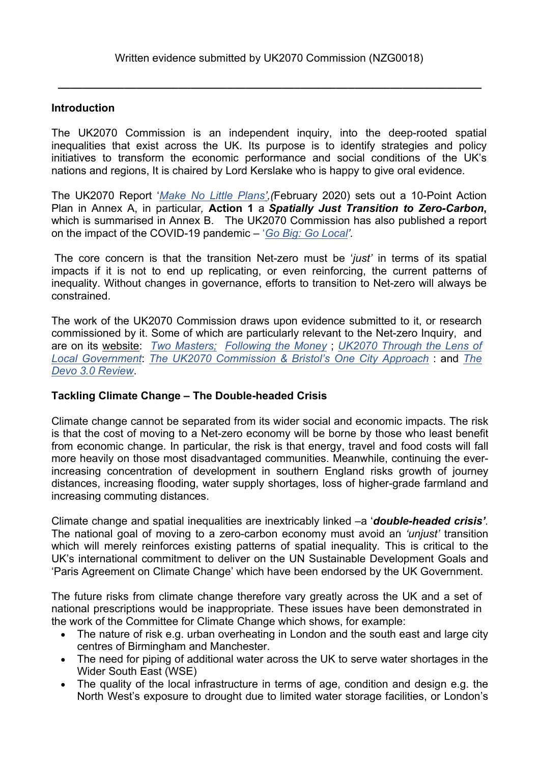**\_\_\_\_\_\_\_\_\_\_\_\_\_\_\_\_\_\_\_\_\_\_\_\_\_\_\_\_\_\_\_\_\_\_\_\_\_\_\_\_\_\_\_\_\_\_\_\_\_\_\_\_\_\_\_\_\_\_\_\_\_\_\_\_\_\_\_\_\_\_**

### **Introduction**

The UK2070 Commission is an independent inquiry, into the deep-rooted spatial inequalities that exist across the UK. Its purpose is to identify strategies and policy initiatives to transform the economic performance and social conditions of the UK's nations and regions, It is chaired by Lord Kerslake who is happy to give oral evidence.

The UK2070 Report '*[Make](http://uk2070.org.uk/wp-content/uploads/2020/02/UK2070-FINAL-REPORT.pdf) [No](http://uk2070.org.uk/wp-content/uploads/2020/02/UK2070-FINAL-REPORT.pdf) [Little](http://uk2070.org.uk/wp-content/uploads/2020/02/UK2070-FINAL-REPORT.pdf) [Plans',](http://uk2070.org.uk/wp-content/uploads/2020/02/UK2070-FINAL-REPORT.pdf)(*February 2020) sets out a 10-Point Action Plan in Annex A, in particular*,* **Action 1** a *Spatially Just Transition to Zero-Carbon***,** which is summarised in Annex B. The UK2070 Commission has also published a report on the impact of the COVID-19 pandemic – '*[Go](http://uk2070.org.uk/wp-content/uploads/2020/09/Go-Big-Go-Local.pdf) [Big:](http://uk2070.org.uk/wp-content/uploads/2020/09/Go-Big-Go-Local.pdf) [Go](http://uk2070.org.uk/wp-content/uploads/2020/09/Go-Big-Go-Local.pdf) [Local'](http://uk2070.org.uk/wp-content/uploads/2020/09/Go-Big-Go-Local.pdf).*

The core concern is that the transition Net-zero must be '*just'* in terms of its spatial impacts if it is not to end up replicating, or even reinforcing, the current patterns of inequality. Without changes in governance, efforts to transition to Net-zero will always be constrained.

The work of the UK2070 Commission draws upon evidence submitted to it, or research commissioned by it. Some of which are particularly relevant to the Net-zero Inquiry, and are on its [website:](http://uk2070.org.uk/publications/) *[Two](file:///C:/Users/user1/Documents/01b%20Nationa%20Plan%202016/01c%20Independent%20Commission/03%20NEXT%20STAGE%202021/03%20Consultations/15%20Labour%20Party%20Brown%20inquiry%20UKFuture%202nd%20August%202021/v) [Masters;](file:///C:/Users/user1/Documents/01b%20Nationa%20Plan%202016/01c%20Independent%20Commission/03%20NEXT%20STAGE%202021/03%20Consultations/15%20Labour%20Party%20Brown%20inquiry%20UKFuture%202nd%20August%202021/v) [Following](http://uk2070.org.uk/wp-content/uploads/2020/09/The-UK2070-Papers-Series-Two.pdf) [the](http://uk2070.org.uk/wp-content/uploads/2020/09/The-UK2070-Papers-Series-Two.pdf) [Money](http://uk2070.org.uk/wp-content/uploads/2020/09/The-UK2070-Papers-Series-Two.pdf)* ; *[UK2070](http://uk2070.org.uk/wp-content/uploads/2020/07/The_UK2070_Papers_Series_One.pdf) [Through](http://uk2070.org.uk/wp-content/uploads/2020/07/The_UK2070_Papers_Series_One.pdf) [the](http://uk2070.org.uk/wp-content/uploads/2020/07/The_UK2070_Papers_Series_One.pdf) [Lens](http://uk2070.org.uk/wp-content/uploads/2020/07/The_UK2070_Papers_Series_One.pdf) [of](http://uk2070.org.uk/wp-content/uploads/2020/07/The_UK2070_Papers_Series_One.pdf) [Local](http://uk2070.org.uk/wp-content/uploads/2020/07/The_UK2070_Papers_Series_One.pdf) [Government](http://uk2070.org.uk/wp-content/uploads/2020/07/The_UK2070_Papers_Series_One.pdf)*: *[The](http://uk2070.org.uk/wp-content/uploads/2020/07/The_UK2070_Papers_Series_One.pdf) [UK2070](http://uk2070.org.uk/wp-content/uploads/2020/07/The_UK2070_Papers_Series_One.pdf) [Commission](http://uk2070.org.uk/wp-content/uploads/2020/07/The_UK2070_Papers_Series_One.pdf) [&](http://uk2070.org.uk/wp-content/uploads/2020/07/The_UK2070_Papers_Series_One.pdf) [Bristol's](http://uk2070.org.uk/wp-content/uploads/2020/07/The_UK2070_Papers_Series_One.pdf) [One](http://uk2070.org.uk/wp-content/uploads/2020/07/The_UK2070_Papers_Series_One.pdf) [City](http://uk2070.org.uk/wp-content/uploads/2020/07/The_UK2070_Papers_Series_One.pdf) [Approach](http://uk2070.org.uk/wp-content/uploads/2020/07/The_UK2070_Papers_Series_One.pdf)* : and *[The](http://uk2070.org.uk/wp-content/uploads/2020/02/DEVO-3.0-FINAL-REPORT.pdf) [Devo](http://uk2070.org.uk/wp-content/uploads/2020/02/DEVO-3.0-FINAL-REPORT.pdf) [3.0](http://uk2070.org.uk/wp-content/uploads/2020/02/DEVO-3.0-FINAL-REPORT.pdf) [Review](http://uk2070.org.uk/wp-content/uploads/2020/02/DEVO-3.0-FINAL-REPORT.pdf)*.

### **Tackling Climate Change – The Double-headed Crisis**

Climate change cannot be separated from its wider social and economic impacts. The risk is that the cost of moving to a Net-zero economy will be borne by those who least benefit from economic change. In particular, the risk is that energy, travel and food costs will fall more heavily on those most disadvantaged communities. Meanwhile, continuing the everincreasing concentration of development in southern England risks growth of journey distances, increasing flooding, water supply shortages, loss of higher-grade farmland and increasing commuting distances.

Climate change and spatial inequalities are inextricably linked –a '*double-headed crisis'.* The national goal of moving to a zero-carbon economy must avoid an *'unjust'* transition which will merely reinforces existing patterns of spatial inequality*.* This is critical to the UK's international commitment to deliver on the UN Sustainable Development Goals and 'Paris Agreement on Climate Change' which have been endorsed by the UK Government.

The future risks from climate change therefore vary greatly across the UK and a set of national prescriptions would be inappropriate. These issues have been demonstrated in the work of the Committee for Climate Change which shows, for example:

- The nature of risk e.g. urban overheating in London and the south east and large city centres of Birmingham and Manchester.
- The need for piping of additional water across the UK to serve water shortages in the Wider South East (WSE)
- The quality of the local infrastructure in terms of age, condition and design e.g. the North West's exposure to drought due to limited water storage facilities, or London's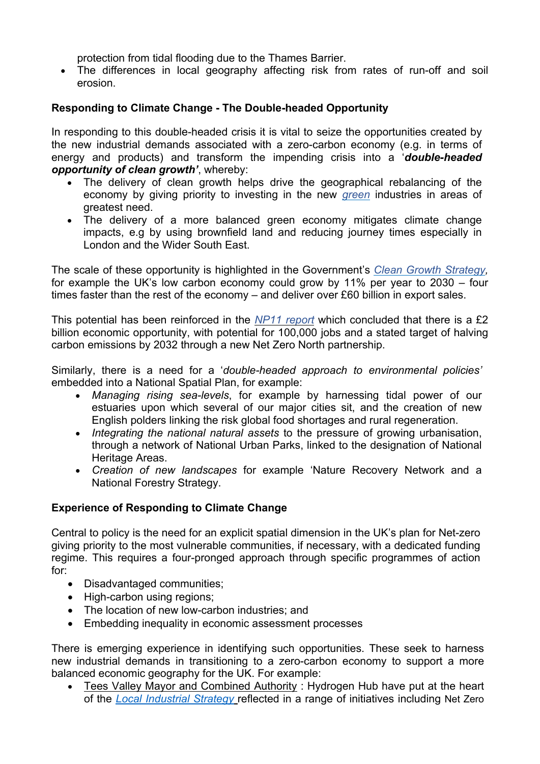protection from tidal flooding due to the Thames Barrier.

 The differences in local geography affecting risk from rates of run-off and soil erosion.

# **Responding to Climate Change - The Double-headed Opportunity**

In responding to this double-headed crisis it is vital to seize the opportunities created by the new industrial demands associated with a zero-carbon economy (e.g. in terms of energy and products) and transform the impending crisis into a '*double-headed opportunity of clean growth'*, whereby:

- The delivery of clean growth helps drive the geographical rebalancing of the economy by giving priority to investing in the new *[green](https://assets.publishing.service.gov.uk/government/uploads/system/uploads/attachment_data/file/700496/clean-growth-strategy-correction-april-2018.pdf)* [i](https://assets.publishing.service.gov.uk/government/uploads/system/uploads/attachment_data/file/700496/clean-growth-strategy-correction-april-2018.pdf)ndustries in areas of greatest need.
- The delivery of a more balanced green economy mitigates climate change impacts, e.g by using brownfield land and reducing journey times especially in London and the Wider South East.

The scale of these opportunity is highlighted in the Government's *[Clean](https://www.gov.uk/government/publications/clean-growth-strategy) [Growth](https://www.gov.uk/government/publications/clean-growth-strategy) [Strategy](https://www.gov.uk/government/publications/clean-growth-strategy),* for example the UK's low carbon economy could grow by 11% per year to 2030 – four times faster than the rest of the economy – and deliver over £60 billion in export sales.

This potential has been reinforced in the *[NP11](https://www.np11.org.uk/wp-content/uploads/2019/11/20191108_NP11_Energy-and-Clean-Growth-Report_FINAL_Digitalv2.pdf) [report](https://www.np11.org.uk/wp-content/uploads/2019/11/20191108_NP11_Energy-and-Clean-Growth-Report_FINAL_Digitalv2.pdf)* which concluded that there is a £2 billion economic opportunity, with potential for 100,000 jobs and a stated target of halving carbon emissions by 2032 through a new Net Zero North partnership.

Similarly, there is a need for a '*double-headed approach to environmental policies'* embedded into a National Spatial Plan, for example:

- *Managing rising sea-levels*, for example by harnessing tidal power of our estuaries upon which several of our major cities sit, and the creation of new English polders linking the risk global food shortages and rural regeneration.
- *Integrating the national natural assets* to the pressure of growing urbanisation, through a network of National Urban Parks, linked to the designation of National Heritage Areas.
- *Creation of new landscapes* for example 'Nature Recovery Network and a National Forestry Strategy.

# **Experience of Responding to Climate Change**

Central to policy is the need for an explicit spatial dimension in the UK's plan for Net-zero giving priority to the most vulnerable communities, if necessary, with a dedicated funding regime. This requires a four-pronged approach through specific programmes of action for:

- Disadvantaged communities;
- High-carbon using regions;
- The location of new low-carbon industries; and
- Embedding inequality in economic assessment processes

There is emerging experience in identifying such opportunities. These seek to harness new industrial demands in transitioning to a zero-carbon economy to support a more balanced economic geography for the UK. For example:

 Tees Valley Mayor and Combined Authority : Hydrogen Hub have put at the heart of the *[Local](https://teesvalley-ca.gov.uk/wp-content/uploads/2019/07/10b-Appendix-2-Draft-Tees-Valley-Local-Industrial-Strategy.pdf) [Industrial](https://teesvalley-ca.gov.uk/wp-content/uploads/2019/07/10b-Appendix-2-Draft-Tees-Valley-Local-Industrial-Strategy.pdf) [Strategy](https://teesvalley-ca.gov.uk/wp-content/uploads/2019/07/10b-Appendix-2-Draft-Tees-Valley-Local-Industrial-Strategy.pdf)* reflected in a range of initiatives including Net Zero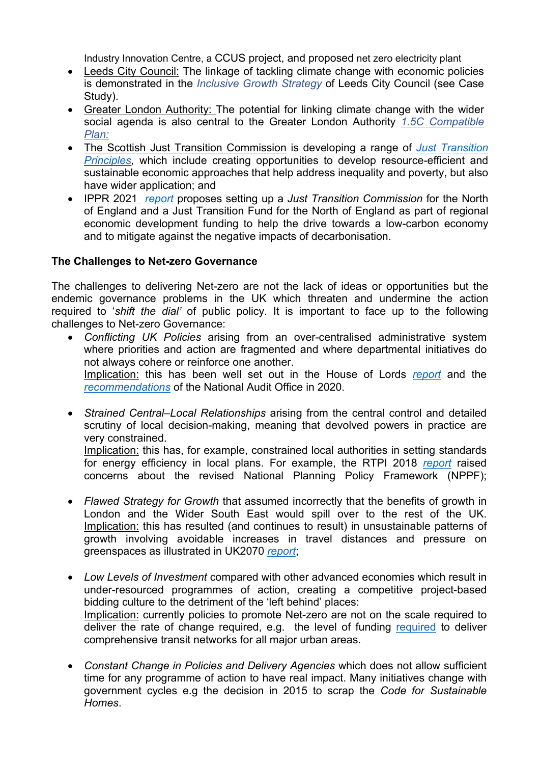Industry Innovation Centre, a CCUS project, and proposed net zero electricity plant

- Leeds City Council: The linkage of tackling climate change with economic policies is demonstrated in the *[Inclusive](https://democracy.leeds.gov.uk/documents/s193114/Inclusive%20Growth%20Strategy%20Report%20Appendix%20A%20Strategy%20Document%20150719.pdf) [Growth](https://democracy.leeds.gov.uk/documents/s193114/Inclusive%20Growth%20Strategy%20Report%20Appendix%20A%20Strategy%20Document%20150719.pdf) [Strategy](https://democracy.leeds.gov.uk/documents/s193114/Inclusive%20Growth%20Strategy%20Report%20Appendix%20A%20Strategy%20Document%20150719.pdf)* [o](https://democracy.leeds.gov.uk/documents/s193114/Inclusive%20Growth%20Strategy%20Report%20Appendix%20A%20Strategy%20Document%20150719.pdf)f Leeds City Council (see Case Study).
- Greater London Authority: The potential for linking climate change with the wider social agenda is also central to the Greater London Authority *[1.5C](https://www.london.gov.uk/what-we-do/environment/climate-change/climate-action-plan) [Compatible](https://www.london.gov.uk/what-we-do/environment/climate-change/climate-action-plan) [Plan:](https://www.london.gov.uk/what-we-do/environment/climate-change/climate-action-plan)*
- The Scottish Just Transition Commission is developing a range of *[Just](https://www.gov.scot/groups/just-transition-commission/) [Transition](https://www.gov.scot/groups/just-transition-commission/) [Principles,](https://www.gov.scot/groups/just-transition-commission/)* which include creating opportunities to develop resource-efficient and sustainable economic approaches that help address inequality and poverty, but also have wider application; and
- IPPR 2021 *[report](https://www.ippr.org/files/2019-03/energy-skills-march19.pdf)* proposes setting up a *Just Transition Commission* for the North of England and a Just Transition Fund for the North of England as part of regional economic development funding to help the drive towards a low-carbon economy and to mitigate against the negative impacts of decarbonisation.

### **The Challenges to Net-zero Governance**

The challenges to delivering Net-zero are not the lack of ideas or opportunities but the endemic governance problems in the UK which threaten and undermine the action required to '*shift the dial'* of public policy. It is important to face up to the following challenges to Net-zero Governance:

- *Conflicting UK Policies* arising from an over-centralised administrative system where priorities and action are fragmented and where departmental initiatives do not always cohere or reinforce one another. Implication: this has been well set out in the House of Lords *[report](https://lordslibrary.parliament.uk/net-zero-and-integrated-policymaking/)* and the *[recommendations](https://www.nao.org.uk/wp-content/uploads/2020/12/Achieving-net-zero.pdf#page=10)* of the National Audit Office in 2020.
- *Strained Central–Local Relationships* arising from the central control and detailed scrutiny of local decision-making, meaning that devolved powers in practice are very constrained. Implication: this has, for example, constrained local authorities in setting standards for energy efficiency in local plans. For example, the RTPI 2018 *[report](https://www.rtpi.org.uk/media/3568/rising-to-the-climate-crisis-1.pdf)* raised concerns about the revised National Planning Policy Framework (NPPF);
- *Flawed Strategy for Growth* that assumed incorrectly that the benefits of growth in London and the Wider South East would spill over to the rest of the UK. Implication: this has resulted (and continues to result) in unsustainable patterns of growth involving avoidable increases in travel distances and pressure on greenspaces as illustrated in UK2070 *[report](http://uk2070.org.uk/wp-content/uploads/2019/05/UK2070Commission-MODELLING-TECHNICAL-REPORT.pdf)*;
- *Low Levels of Investment* compared with other advanced economies which result in under-resourced programmes of action, creating a competitive project-based bidding culture to the detriment of the 'left behind' places: Implication: currently policies to promote Net-zero are not on the scale required to deliver the rate of change [required](http://uk2070.org.uk/wp-content/uploads/2020/09/Greengauge-Report-Final.pdf), e.g. the level of funding required to deliver comprehensive transit networks for all major urban areas.
- *Constant Change in Policies and Delivery Agencies* which does not allow sufficient time for any programme of action to have real impact. Many initiatives change with government cycles e.g the decision in 2015 to scrap the *Code for Sustainable Homes*.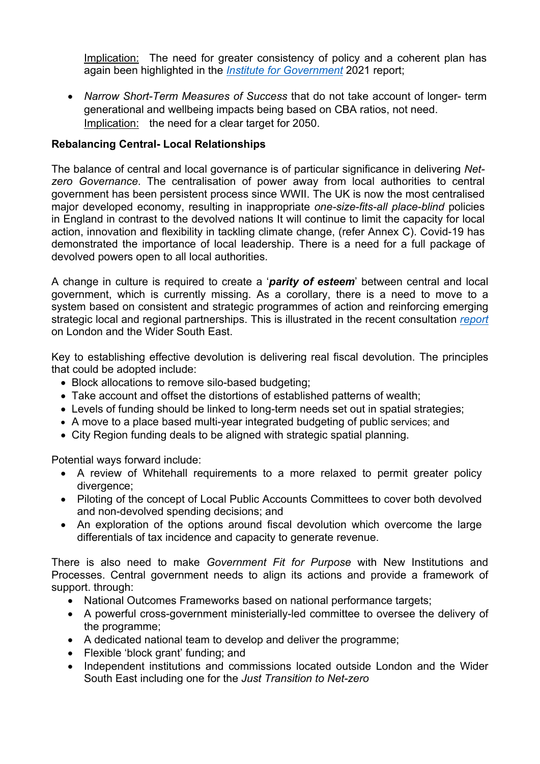Implication: The need for greater consistency of policy and a coherent plan has again been highlighted in the *[Institute](https://www.instituteforgovernment.org.uk/sites/default/files/publications/net-zero-government-climate-change-target.pdf) [for](https://www.instituteforgovernment.org.uk/sites/default/files/publications/net-zero-government-climate-change-target.pdf) [Government](https://www.instituteforgovernment.org.uk/sites/default/files/publications/net-zero-government-climate-change-target.pdf)* 2021 report;

 *Narrow Short-Term Measures of Success* that do not take account of longer- term generational and wellbeing impacts being based on CBA ratios, not need. Implication: the need for a clear target for 2050.

## **Rebalancing Central- Local Relationships**

The balance of central and local governance is of particular significance in delivering *Netzero Governance*. The centralisation of power away from local authorities to central government has been persistent process since WWII. The UK is now the most centralised major developed economy, resulting in inappropriate *one-size-fits-all place-blind* policies in England in contrast to the devolved nations It will continue to limit the capacity for local action, innovation and flexibility in tackling climate change, (refer Annex C). Covid-19 has demonstrated the importance of local leadership. There is a need for a full package of devolved powers open to all local authorities.

A change in culture is required to create a '*parity of esteem*' between central and local government, which is currently missing. As a corollary, there is a need to move to a system based on consistent and strategic programmes of action and reinforcing emerging strategic local and regional partnerships. This is illustrated in the recent consultation *[report](http://wseplanningnetwork.org/wp-content/uploads/2021/07/LWSE-Strategic-Planning-Network-Discussion-Paper-July-2021-002.pdf)* on London and the Wider South East.

Key to establishing effective devolution is delivering real fiscal devolution. The principles that could be adopted include:

- Block allocations to remove silo-based budgeting;
- Take account and offset the distortions of established patterns of wealth;
- Levels of funding should be linked to long-term needs set out in spatial strategies;
- A move to a place based multi-year integrated budgeting of public services; and
- City Region funding deals to be aligned with strategic spatial planning.

Potential ways forward include:

- A review of Whitehall requirements to a more relaxed to permit greater policy divergence;
- Piloting of the concept of Local Public Accounts Committees to cover both devolved and non-devolved spending decisions; and
- An exploration of the options around fiscal devolution which overcome the large differentials of tax incidence and capacity to generate revenue.

There is also need to make *Government Fit for Purpose* with New Institutions and Processes. Central government needs to align its actions and provide a framework of support. through:

- National Outcomes Frameworks based on national performance targets:
- A powerful cross-government ministerially-led committee to oversee the delivery of the programme;
- A dedicated national team to develop and deliver the programme;
- Flexible 'block grant' funding: and
- Independent institutions and commissions located outside London and the Wider South East including one for the *Just Transition to Net-zero*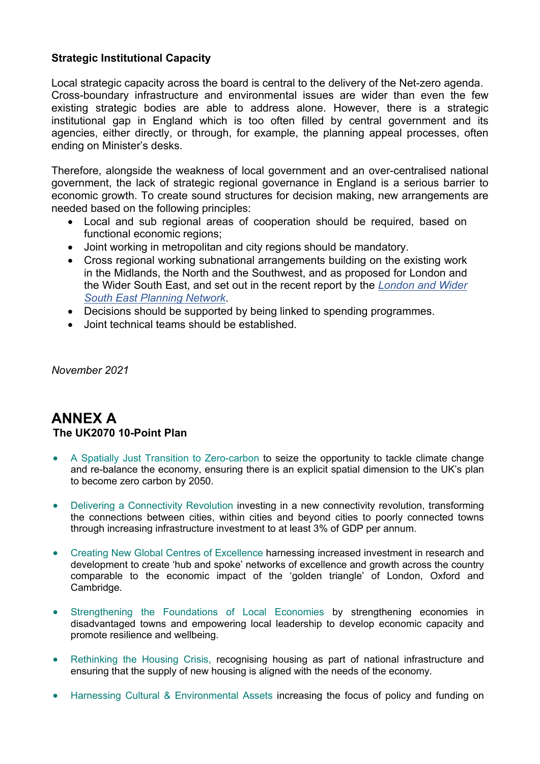## **Strategic Institutional Capacity**

Local strategic capacity across the board is central to the delivery of the Net-zero agenda. Cross-boundary infrastructure and environmental issues are wider than even the few existing strategic bodies are able to address alone. However, there is a strategic institutional gap in England which is too often filled by central government and its agencies, either directly, or through, for example, the planning appeal processes, often ending on Minister's desks.

Therefore, alongside the weakness of local government and an over-centralised national government, the lack of strategic regional governance in England is a serious barrier to economic growth. To create sound structures for decision making, new arrangements are needed based on the following principles:

- Local and sub regional areas of cooperation should be required, based on functional economic regions;
- Joint working in metropolitan and city regions should be mandatory.
- Cross regional working subnational arrangements building on the existing work in the Midlands, the North and the Southwest, and as proposed for London and the [Wid](http://wseplanningnetwork.org/)er South East, and set out in the recent report by the *[London](http://wseplanningnetwork.org/) [and](http://wseplanningnetwork.org/) [Wider](http://wseplanningnetwork.org/) [South](http://wseplanningnetwork.org/) [East](http://wseplanningnetwork.org/) [Planning](http://wseplanningnetwork.org/) [Network](http://wseplanningnetwork.org/)*.
- Decisions should be supported by being linked to spending programmes.
- Joint technical teams should be established.

*November 2021*

# **ANNEX A The UK2070 10-Point Plan**

- A Spatially Just Transition to Zero-carbon to seize the opportunity to tackle climate change and re-balance the economy, ensuring there is an explicit spatial dimension to the UK's plan to become zero carbon by 2050.
- Delivering a Connectivity Revolution investing in a new connectivity revolution, transforming the connections between cities, within cities and beyond cities to poorly connected towns through increasing infrastructure investment to at least 3% of GDP per annum.
- Creating New Global Centres of Excellence harnessing increased investment in research and development to create 'hub and spoke' networks of excellence and growth across the country comparable to the economic impact of the 'golden triangle' of London, Oxford and Cambridge.
- Strengthening the Foundations of Local Economies by strengthening economies in disadvantaged towns and empowering local leadership to develop economic capacity and promote resilience and wellbeing.
- Rethinking the Housing Crisis, recognising housing as part of national infrastructure and ensuring that the supply of new housing is aligned with the needs of the economy.
- Harnessing Cultural & Environmental Assets increasing the focus of policy and funding on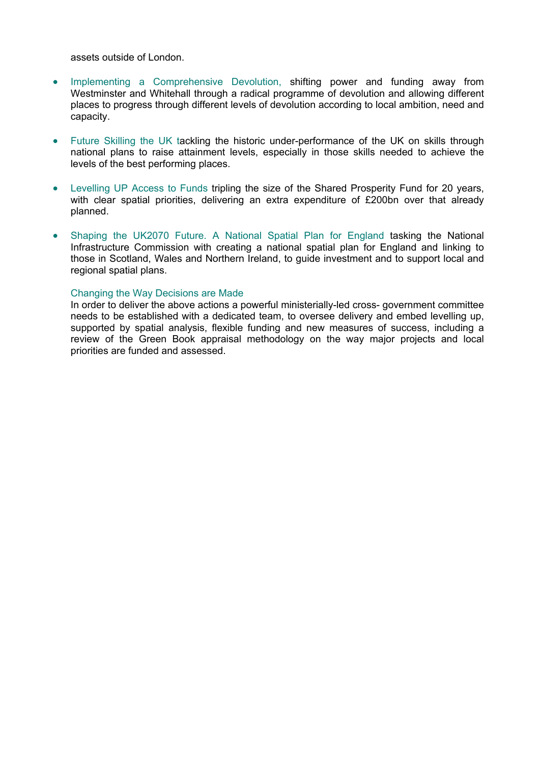assets outside of London.

- Implementing a Comprehensive Devolution, shifting power and funding away from Westminster and Whitehall through a radical programme of devolution and allowing different places to progress through different levels of devolution according to local ambition, need and capacity.
- Future Skilling the UK tackling the historic under-performance of the UK on skills through national plans to raise attainment levels, especially in those skills needed to achieve the levels of the best performing places.
- Levelling UP Access to Funds tripling the size of the Shared Prosperity Fund for 20 years, with clear spatial priorities, delivering an extra expenditure of £200bn over that already planned.
- Shaping the UK2070 Future. A National Spatial Plan for England tasking the National Infrastructure Commission with creating a national spatial plan for England and linking to those in Scotland, Wales and Northern Ireland, to guide investment and to support local and regional spatial plans.

#### Changing the Way Decisions are Made

In order to deliver the above actions a powerful ministerially-led cross- government committee needs to be established with a dedicated team, to oversee delivery and embed levelling up, supported by spatial analysis, flexible funding and new measures of success, including a review of the Green Book appraisal methodology on the way major projects and local priorities are funded and assessed.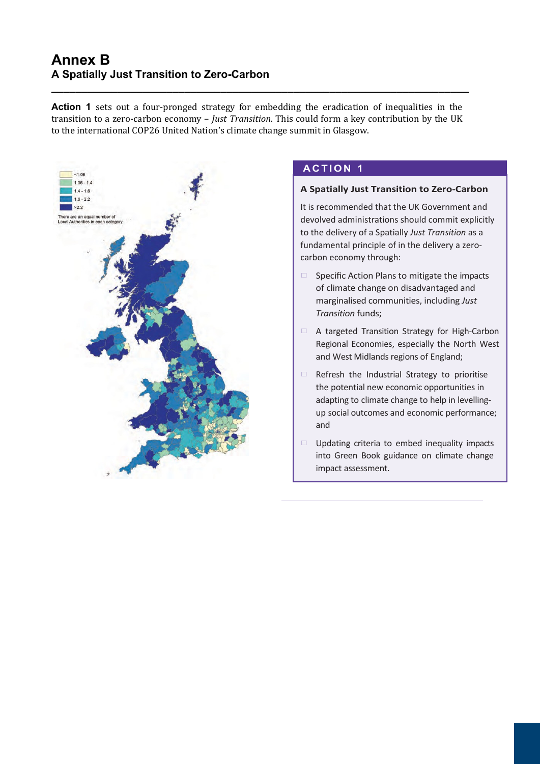# **Annex B A Spatially Just Transition to Zero-Carbon**

**Action 1** sets out a four-pronged strategy for embedding the eradication of inequalities in the transition to a zero-carbon economy – *Just Transition*. This could form a key contribution by the UK to the international COP26 United Nation's climate change summit in Glasgow.

**\_\_\_\_\_\_\_\_\_\_\_\_\_\_\_\_\_\_\_\_\_\_\_\_\_\_\_\_\_\_\_\_\_\_\_\_\_\_\_\_\_\_\_\_\_\_\_\_\_\_\_\_\_\_\_\_\_\_\_\_\_\_\_\_\_\_\_\_\_**



# **A C TION 1**

### **A Spatially Just Transition to Zero-Carbon**

It is recommended that the UK Government and devolved administrations should commit explicitly to the delivery of a Spatially *Just Transition* as a fundamental principle of in the delivery a zerocarbon economy through:

- $\Box$  Specific Action Plans to mitigate the impacts of climate change on disadvantaged and marginalised communities, including *Just Transition* funds;
- □ A targeted Transition Strategy for High-Carbon Regional Economies, especially the North West and West Midlands regions of England;
- $\Box$  Refresh the Industrial Strategy to prioritise the potential new economic opportunities in adapting to climate change to help in levellingup social outcomes and economic performance; and
- $\Box$  Updating criteria to embed inequality impacts into Green Book guidance on climate change impact assessment.